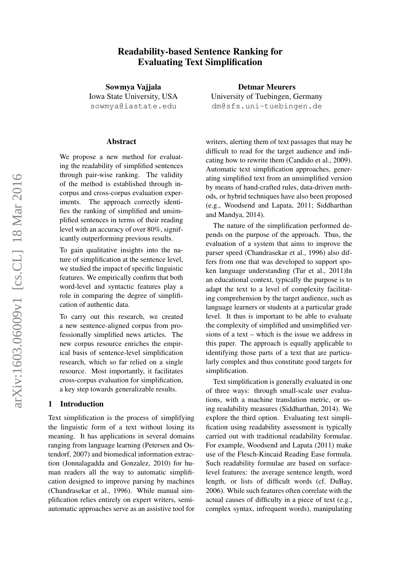# Readability-based Sentence Ranking for Evaluating Text Simplification

Sowmya Vajjala Iowa State University, USA sowmya@iastate.edu

#### Abstract

We propose a new method for evaluating the readability of simplified sentences through pair-wise ranking. The validity of the method is established through incorpus and cross-corpus evaluation experiments. The approach correctly identifies the ranking of simplified and unsimplified sentences in terms of their reading level with an accuracy of over 80%, significantly outperforming previous results.

To gain qualitative insights into the nature of simplification at the sentence level, we studied the impact of specific linguistic features. We empirically confirm that both word-level and syntactic features play a role in comparing the degree of simplification of authentic data.

To carry out this research, we created a new sentence-aligned corpus from professionally simplified news articles. The new corpus resource enriches the empirical basis of sentence-level simplification research, which so far relied on a single resource. Most importantly, it facilitates cross-corpus evaluation for simplification, a key step towards generalizable results.

### 1 Introduction

Text simplification is the process of simplifying the linguistic form of a text without losing its meaning. It has applications in several domains ranging from language learning (Petersen and Ostendorf, 2007) and biomedical information extraction (Jonnalagadda and Gonzalez, 2010) for human readers all the way to automatic simplification designed to improve parsing by machines (Chandrasekar et al., 1996). While manual simplification relies entirely on expert writers, semiautomatic approaches serve as an assistive tool for

Detmar Meurers University of Tuebingen, Germany dm@sfs.uni-tuebingen.de

writers, alerting them of text passages that may be difficult to read for the target audience and indicating how to rewrite them (Candido et al., 2009). Automatic text simplification approaches, generating simplified text from an unsimplified version by means of hand-crafted rules, data-driven methods, or hybrid techniques have also been proposed (e.g., Woodsend and Lapata, 2011; Siddharthan and Mandya, 2014).

The nature of the simplification performed depends on the purpose of the approach. Thus, the evaluation of a system that aims to improve the parser speed (Chandrasekar et al., 1996) also differs from one that was developed to support spoken language understanding (Tur et al., 2011)In an educational context, typically the purpose is to adapt the text to a level of complexity facilitating comprehension by the target audience, such as language learners or students at a particular grade level. It thus is important to be able to evaluate the complexity of simplified and unsimplified versions of a text – which is the issue we address in this paper. The approach is equally applicable to identifying those parts of a text that are particularly complex and thus constitute good targets for simplification.

Text simplification is generally evaluated in one of three ways: through small-scale user evaluations, with a machine translation metric, or using readability measures (Siddharthan, 2014). We explore the third option. Evaluating text simplification using readability assessment is typically carried out with traditional readability formulae. For example, Woodsend and Lapata (2011) make use of the Flesch-Kincaid Reading Ease formula. Such readability formulae are based on surfacelevel features: the average sentence length, word length, or lists of difficult words (cf. DuBay, 2006). While such features often correlate with the actual causes of difficulty in a piece of text (e.g., complex syntax, infrequent words), manipulating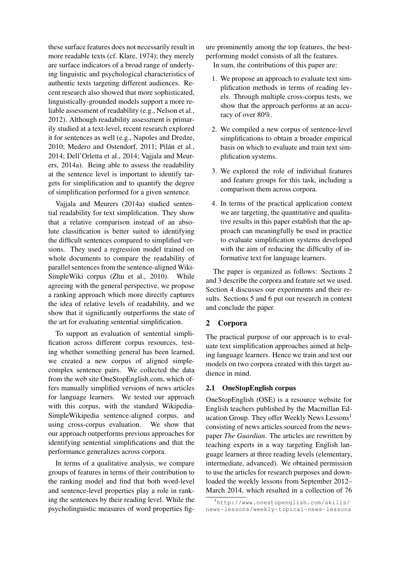these surface features does not necessarily result in more readable texts (cf. Klare, 1974); they merely are surface indicators of a broad range of underlying linguistic and psychological characteristics of authentic texts targeting different audiences. Recent research also showed that more sophisticated, linguistically-grounded models support a more reliable assessment of readability (e.g., Nelson et al., 2012). Although readability assessment is primarily studied at a text-level, recent research explored it for sentences as well (e.g., Napoles and Dredze, 2010; Medero and Ostendorf, 2011; Pilán et al., 2014; Dell'Orletta et al., 2014; Vajjala and Meurers, 2014a). Being able to assess the readability at the sentence level is important to identify targets for simplification and to quantify the degree of simplification performed for a given sentence.

Vajjala and Meurers (2014a) studied sentential readability for text simplification. They show that a relative comparison instead of an absolute classification is better suited to identifying the difficult sentences compared to simplified versions. They used a regression model trained on whole documents to compare the readability of parallel sentences from the sentence-aligned Wiki-SimpleWiki corpus (Zhu et al., 2010). While agreeing with the general perspective, we propose a ranking approach which more directly captures the idea of relative levels of readability, and we show that it significantly outperforms the state of the art for evaluating sentential simplification.

To support an evaluation of sentential simplification across different corpus resources, testing whether something general has been learned, we created a new corpus of aligned simplecomplex sentence pairs. We collected the data from the web site OneStopEnglish.com, which offers manually simplified versions of news articles for language learners. We tested our approach with this corpus, with the standard Wikipedia-SimpleWikipedia sentence-aligned corpus, and using cross-corpus evaluation. We show that our approach outperforms previous approaches for identifying sentential simplifications and that the performance generalizes across corpora.

In terms of a qualitative analysis, we compare groups of features in terms of their contribution to the ranking model and find that both word-level and sentence-level properties play a role in ranking the sentences by their reading level. While the psycholinguistic measures of word properties fig-

ure prominently among the top features, the bestperforming model consists of all the features.

In sum, the contributions of this paper are:

- 1. We propose an approach to evaluate text simplification methods in terms of reading levels. Through multiple cross-corpus tests, we show that the approach performs at an accuracy of over 80%.
- 2. We compiled a new corpus of sentence-level simplifications to obtain a broader empirical basis on which to evaluate and train text simplification systems.
- 3. We explored the role of individual features and feature groups for this task, including a comparison them across corpora.
- 4. In terms of the practical application context we are targeting, the quantitative and qualitative results in this paper establish that the approach can meaningfully be used in practice to evaluate simplification systems developed with the aim of reducing the difficulty of informative text for language learners.

The paper is organized as follows: Sections 2 and 3 describe the corpora and feature set we used. Section 4 discusses our experiments and their results. Sections 5 and 6 put our research in context and conclude the paper.

## 2 Corpora

The practical purpose of our approach is to evaluate text simplification approaches aimed at helping language learners. Hence we train and test our models on two corpora created with this target audience in mind.

### 2.1 OneStopEnglish corpus

OneStopEnglish (OSE) is a resource website for English teachers published by the Macmillan Education Group. They offer Weekly News Lessons<sup>1</sup> consisting of news articles sourced from the newspaper *The Guardian*. The articles are rewritten by teaching experts in a way targeting English language learners at three reading levels (elementary, intermediate, advanced). We obtained permission to use the articles for research purposes and downloaded the weekly lessons from September 2012– March 2014, which resulted in a collection of 76

<sup>1</sup>http://www.onestopenglish.com/skills/ news-lessons/weekly-topical-news-lessons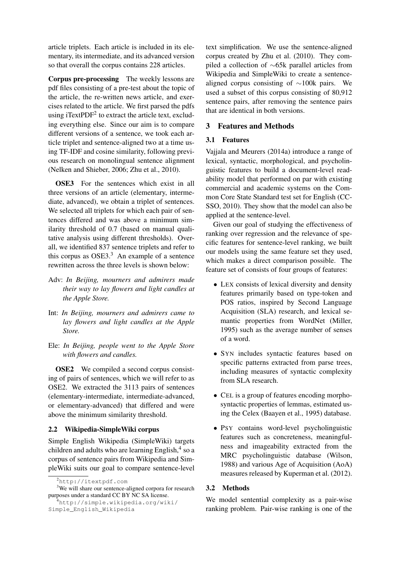article triplets. Each article is included in its elementary, its intermediate, and its advanced version so that overall the corpus contains 228 articles.

Corpus pre-processing The weekly lessons are pdf files consisting of a pre-test about the topic of the article, the re-written news article, and exercises related to the article. We first parsed the pdfs using iTextPDF<sup>2</sup> to extract the article text, excluding everything else. Since our aim is to compare different versions of a sentence, we took each article triplet and sentence-aligned two at a time using TF-IDF and cosine similarity, following previous research on monolingual sentence alignment (Nelken and Shieber, 2006; Zhu et al., 2010).

OSE3 For the sentences which exist in all three versions of an article (elementary, intermediate, advanced), we obtain a triplet of sentences. We selected all triplets for which each pair of sentences differed and was above a minimum similarity threshold of 0.7 (based on manual qualitative analysis using different thresholds). Overall, we identified 837 sentence triplets and refer to this corpus as  $OSE3<sup>3</sup>$ . An example of a sentence rewritten across the three levels is shown below:

- Adv: *In Beijing, mourners and admirers made their way to lay flowers and light candles at the Apple Store.*
- Int: *In Beijing, mourners and admirers came to lay flowers and light candles at the Apple Store.*
- Ele: *In Beijing, people went to the Apple Store with flowers and candles.*

OSE2 We compiled a second corpus consisting of pairs of sentences, which we will refer to as OSE2. We extracted the 3113 pairs of sentences (elementary-intermediate, intermediate-advanced, or elementary-advanced) that differed and were above the minimum similarity threshold.

## 2.2 Wikipedia-SimpleWiki corpus

Simple English Wikipedia (SimpleWiki) targets children and adults who are learning English,<sup>4</sup> so a corpus of sentence pairs from Wikipedia and SimpleWiki suits our goal to compare sentence-level text simplification. We use the sentence-aligned corpus created by Zhu et al. (2010). They compiled a collection of ∼65k parallel articles from Wikipedia and SimpleWiki to create a sentencealigned corpus consisting of ∼100k pairs. We used a subset of this corpus consisting of 80,912 sentence pairs, after removing the sentence pairs that are identical in both versions.

## 3 Features and Methods

## 3.1 Features

Vajjala and Meurers (2014a) introduce a range of lexical, syntactic, morphological, and psycholinguistic features to build a document-level readability model that performed on par with existing commercial and academic systems on the Common Core State Standard test set for English (CC-SSO, 2010). They show that the model can also be applied at the sentence-level.

Given our goal of studying the effectiveness of ranking over regression and the relevance of specific features for sentence-level ranking, we built our models using the same feature set they used, which makes a direct comparison possible. The feature set of consists of four groups of features:

- LEX consists of lexical diversity and density features primarily based on type-token and POS ratios, inspired by Second Language Acquisition (SLA) research, and lexical semantic properties from WordNet (Miller, 1995) such as the average number of senses of a word.
- SYN includes syntactic features based on specific patterns extracted from parse trees, including measures of syntactic complexity from SLA research.
- CEL is a group of features encoding morphosyntactic properties of lemmas, estimated using the Celex (Baayen et al., 1995) database.
- PSY contains word-level psycholinguistic features such as concreteness, meaningfulness and imageability extracted from the MRC psycholinguistic database (Wilson, 1988) and various Age of Acquisition (AoA) measures released by Kuperman et al. (2012).

### 3.2 Methods

We model sentential complexity as a pair-wise ranking problem. Pair-wise ranking is one of the

<sup>2</sup>http://itextpdf.com

<sup>&</sup>lt;sup>3</sup>We will share our sentence-aligned corpora for research purposes under a standard CC BY NC SA license.

<sup>&</sup>lt;sup>4</sup>http://simple.wikipedia.org/wiki/ Simple\_English\_Wikipedia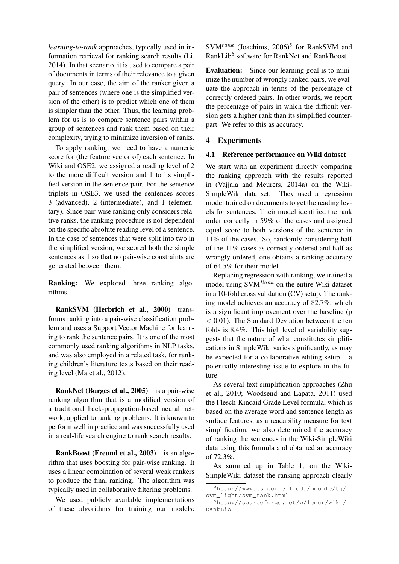*learning-to-rank* approaches, typically used in information retrieval for ranking search results (Li, 2014). In that scenario, it is used to compare a pair of documents in terms of their relevance to a given query. In our case, the aim of the ranker given a pair of sentences (where one is the simplified version of the other) is to predict which one of them is simpler than the other. Thus, the learning problem for us is to compare sentence pairs within a group of sentences and rank them based on their complexity, trying to minimize inversion of ranks.

To apply ranking, we need to have a numeric score for (the feature vector of) each sentence. In Wiki and OSE2, we assigned a reading level of 2 to the more difficult version and 1 to its simplified version in the sentence pair. For the sentence triplets in OSE3, we used the sentences scores 3 (advanced), 2 (intermediate), and 1 (elementary). Since pair-wise ranking only considers relative ranks, the ranking procedure is not dependent on the specific absolute reading level of a sentence. In the case of sentences that were split into two in the simplified version, we scored both the simple sentences as 1 so that no pair-wise constraints are generated between them.

Ranking: We explored three ranking algorithms.

RankSVM (Herbrich et al., 2000) transforms ranking into a pair-wise classification problem and uses a Support Vector Machine for learning to rank the sentence pairs. It is one of the most commonly used ranking algorithms in NLP tasks. and was also employed in a related task, for ranking children's literature texts based on their reading level (Ma et al., 2012).

RankNet (Burges et al., 2005) is a pair-wise ranking algorithm that is a modified version of a traditional back-propagation-based neural network, applied to ranking problems. It is known to perform well in practice and was successfully used in a real-life search engine to rank search results.

RankBoost (Freund et al., 2003) is an algorithm that uses boosting for pair-wise ranking. It uses a linear combination of several weak rankers to produce the final ranking. The algorithm was typically used in collaborative filtering problems.

We used publicly available implementations of these algorithms for training our models:  $SVM^{rank}$  (Joachims, 2006)<sup>5</sup> for RankSVM and RankLib<sup>6</sup> software for RankNet and RankBoost.

Evaluation: Since our learning goal is to minimize the number of wrongly ranked pairs, we evaluate the approach in terms of the percentage of correctly ordered pairs. In other words, we report the percentage of pairs in which the difficult version gets a higher rank than its simplified counterpart. We refer to this as accuracy.

## 4 Experiments

#### 4.1 Reference performance on Wiki dataset

We start with an experiment directly comparing the ranking approach with the results reported in (Vajjala and Meurers, 2014a) on the Wiki-SimpleWiki data set. They used a regression model trained on documents to get the reading levels for sentences. Their model identified the rank order correctly in 59% of the cases and assigned equal score to both versions of the sentence in 11% of the cases. So, randomly considering half of the 11% cases as correctly ordered and half as wrongly ordered, one obtains a ranking accuracy of 64.5% for their model.

Replacing regression with ranking, we trained a model using SVM<sup>Rank</sup> on the entire Wiki dataset in a 10-fold cross validation (CV) setup. The ranking model achieves an accuracy of 82.7%, which is a significant improvement over the baseline (p  $< 0.01$ ). The Standard Deviation between the ten folds is 8.4%. This high level of variability suggests that the nature of what constitutes simplifications in SimpleWiki varies significantly, as may be expected for a collaborative editing setup  $-$  a potentially interesting issue to explore in the future.

As several text simplification approaches (Zhu et al., 2010; Woodsend and Lapata, 2011) used the Flesch-Kincaid Grade Level formula, which is based on the average word and sentence length as surface features, as a readability measure for text simplification, we also determined the accuracy of ranking the sentences in the Wiki-SimpleWiki data using this formula and obtained an accuracy of 72.3%.

As summed up in Table 1, on the Wiki-SimpleWiki dataset the ranking approach clearly

<sup>5</sup>http://www.cs.cornell.edu/people/tj/ svm\_light/svm\_rank.html

<sup>6</sup>http://sourceforge.net/p/lemur/wiki/ RankLib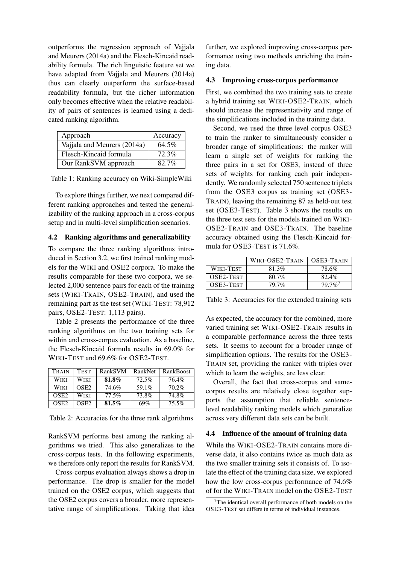outperforms the regression approach of Vajjala and Meurers (2014a) and the Flesch-Kincaid readability formula. The rich linguistic feature set we have adapted from Vajjala and Meurers (2014a) thus can clearly outperform the surface-based readability formula, but the richer information only becomes effective when the relative readability of pairs of sentences is learned using a dedicated ranking algorithm.

| Approach                    | Accuracy |
|-----------------------------|----------|
| Vajjala and Meurers (2014a) | 64.5%    |
| Flesch-Kincaid formula      | 72.3%    |
| Our RankSVM approach        | 82.7%    |

Table 1: Ranking accuracy on Wiki-SimpleWiki

To explore things further, we next compared different ranking approaches and tested the generalizability of the ranking approach in a cross-corpus setup and in multi-level simplification scenarios.

## 4.2 Ranking algorithms and generalizability

To compare the three ranking algorithms introduced in Section 3.2, we first trained ranking models for the WIKI and OSE2 corpora. To make the results comparable for these two corpora, we selected 2,000 sentence pairs for each of the training sets (WIKI-TRAIN, OSE2-TRAIN), and used the remaining part as the test set (WIKI-TEST: 78,912 pairs, OSE2-TEST: 1,113 pairs).

Table 2 presents the performance of the three ranking algorithms on the two training sets for within and cross-corpus evaluation. As a baseline, the Flesch-Kincaid formula results in 69.0% for WIKI-TEST and 69.6% for OSE2-TEST.

| TRAIN            | <b>TEST</b>      | RankSVM  | RankNet | <b>RankBoost</b> |
|------------------|------------------|----------|---------|------------------|
| Wiki             | Wiki             | 81.8%    | 72.5%   | 76.4%            |
| Wiki             | OSE <sub>2</sub> | 74.6%    | 59.1%   | 70.2%            |
| OSE <sub>2</sub> | Wiki             | 77.5%    | 73.8%   | 74.8%            |
| OSE <sub>2</sub> | OSE2             | $81.5\%$ | 69%     | $75.5\%$         |

Table 2: Accuracies for the three rank algorithms

RankSVM performs best among the ranking algorithms we tried. This also generalizes to the cross-corpus tests. In the following experiments, we therefore only report the results for RankSVM.

Cross-corpus evaluation always shows a drop in performance. The drop is smaller for the model trained on the OSE2 corpus, which suggests that the OSE2 corpus covers a broader, more representative range of simplifications. Taking that idea further, we explored improving cross-corpus performance using two methods enriching the training data.

#### 4.3 Improving cross-corpus performance

First, we combined the two training sets to create a hybrid training set WIKI-OSE2-TRAIN, which should increase the representativity and range of the simplifications included in the training data.

Second, we used the three level corpus OSE3 to train the ranker to simultaneously consider a broader range of simplifications: the ranker will learn a single set of weights for ranking the three pairs in a set for OSE3, instead of three sets of weights for ranking each pair independently. We randomly selected 750 sentence triplets from the OSE3 corpus as training set (OSE3- TRAIN), leaving the remaining 87 as held-out test set (OSE3-TEST). Table 3 shows the results on the three test sets for the models trained on WIKI-OSE2-TRAIN and OSE3-TRAIN. The baseline accuracy obtained using the Flesch-Kincaid formula for OSE3-TEST is 71.6%.

|           | WIKI-OSE2-TRAIN | OSE3-TRAIN |
|-----------|-----------------|------------|
| WIKI-TEST | $81.3\%$        | 78.6%      |
| OSE2-TEST | $80.7\%$        | $82.4\%$   |
| OSE3-TEST | <b>79.7%</b>    | $79.7\%$   |

Table 3: Accuracies for the extended training sets

As expected, the accuracy for the combined, more varied training set WIKI-OSE2-TRAIN results in a comparable performance across the three tests sets. It seems to account for a broader range of simplification options. The results for the OSE3- TRAIN set, providing the ranker with triples over which to learn the weights, are less clear.

Overall, the fact that cross-corpus and samecorpus results are relatively close together supports the assumption that reliable sentencelevel readability ranking models which generalize across very different data sets can be built.

#### 4.4 Influence of the amount of training data

While the WIKI-OSE2-TRAIN contains more diverse data, it also contains twice as much data as the two smaller training sets it consists of. To isolate the effect of the training data size, we explored how the low cross-corpus performance of 74.6% of for the WIKI-TRAIN model on the OSE2-TEST

The identical overall performance of both models on the OSE3-TEST set differs in terms of individual instances.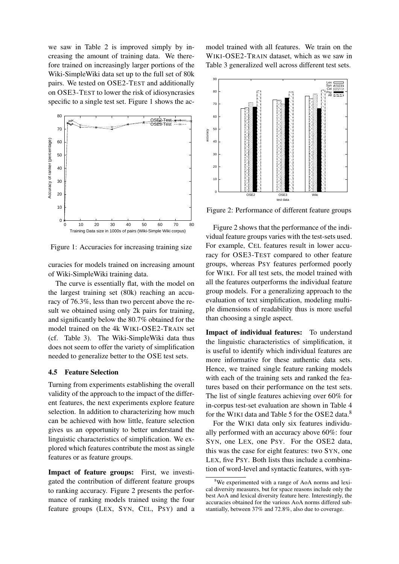we saw in Table 2 is improved simply by increasing the amount of training data. We therefore trained on increasingly larger portions of the Wiki-SimpleWiki data set up to the full set of 80k pairs. We tested on OSE2-TEST and additionally on OSE3-TEST to lower the risk of idiosyncrasies specific to a single test set. Figure 1 shows the ac-



Figure 1: Accuracies for increasing training size

curacies for models trained on increasing amount of Wiki-SimpleWiki training data.

The curve is essentially flat, with the model on the largest training set (80k) reaching an accuracy of 76.3%, less than two percent above the result we obtained using only 2k pairs for training, and significantly below the 80.7% obtained for the model trained on the 4k WIKI-OSE2-TRAIN set (cf. Table 3). The Wiki-SimpleWiki data thus does not seem to offer the variety of simplification needed to generalize better to the OSE test sets.

#### 4.5 Feature Selection

Turning from experiments establishing the overall validity of the approach to the impact of the different features, the next experiments explore feature selection. In addition to characterizing how much can be achieved with how little, feature selection gives us an opportunity to better understand the linguistic characteristics of simplification. We explored which features contribute the most as single features or as feature groups.

Impact of feature groups: First, we investigated the contribution of different feature groups to ranking accuracy. Figure 2 presents the performance of ranking models trained using the four feature groups (LEX, SYN, CEL, PSY) and a

model trained with all features. We train on the WIKI-OSE2-TRAIN dataset, which as we saw in Table 3 generalized well across different test sets.



Figure 2: Performance of different feature groups

Figure 2 shows that the performance of the individual feature groups varies with the test-sets used. For example, CEL features result in lower accuracy for OSE3-TEST compared to other feature groups, whereas PSY features performed poorly for WIKI. For all test sets, the model trained with all the features outperforms the individual feature group models. For a generalizing approach to the evaluation of text simplification, modeling multiple dimensions of readability thus is more useful than choosing a single aspect.

Impact of individual features: To understand the linguistic characteristics of simplification, it is useful to identify which individual features are more informative for these authentic data sets. Hence, we trained single feature ranking models with each of the training sets and ranked the features based on their performance on the test sets. The list of single features achieving over 60% for in-corpus test-set evaluation are shown in Table 4 for the WIKI data and Table 5 for the OSE2 data.<sup>8</sup>

For the WIKI data only six features individually performed with an accuracy above 60%: four SYN, one LEX, one PSY. For the OSE2 data, this was the case for eight features: two SYN, one LEX, five PSY. Both lists thus include a combination of word-level and syntactic features, with syn-

<sup>8</sup>We experimented with a range of AoA norms and lexical diversity measures, but for space reasons include only the best AoA and lexical diversity feature here. Interestingly, the accuracies obtained for the various AoA norms differed substantially, between 37% and 72.8%, also due to coverage.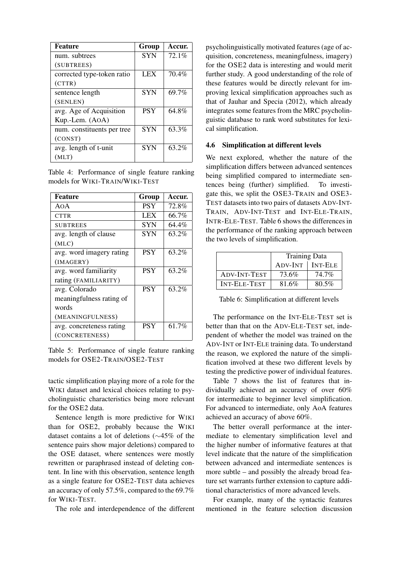| <b>Feature</b>             | Group      | Accur. |
|----------------------------|------------|--------|
| num. subtrees              | <b>SYN</b> | 72.1%  |
| (SUBTREES)                 |            |        |
| corrected type-token ratio | <b>LEX</b> | 70.4%  |
| (CTTR)                     |            |        |
| sentence length            | <b>SYN</b> | 69.7%  |
| (SENLEN)                   |            |        |
| avg. Age of Acquisition    | <b>PSY</b> | 64.8%  |
| Kup.-Lem. (AOA)            |            |        |
| num. constituents per tree | <b>SYN</b> | 63.3%  |
| (CONST)                    |            |        |
| avg. length of t-unit      | <b>SYN</b> | 63.2%  |
| (MLT)                      |            |        |

Table 4: Performance of single feature ranking models for WIKI-TRAIN/WIKI-TEST

| <b>Feature</b>           | Group      | Accur. |
|--------------------------|------------|--------|
| AOA                      | <b>PSY</b> | 72.8%  |
| <b>CTTR</b>              | <b>LEX</b> | 66.7%  |
| <b>SUBTREES</b>          | <b>SYN</b> | 64.4%  |
| avg. length of clause    | SYN        | 63.2%  |
| (MLC)                    |            |        |
| avg. word imagery rating | <b>PSY</b> | 63.2%  |
| (IMAGERY)                |            |        |
| avg. word familiarity    | <b>PSY</b> | 63.2%  |
| rating (FAMILIARITY)     |            |        |
| avg. Colorado            | <b>PSY</b> | 63.2%  |
| meaningfulness rating of |            |        |
| words                    |            |        |
| (MEANINGFULNESS)         |            |        |
| avg. concreteness rating | <b>PSY</b> | 61.7%  |
| (CONCRETENESS)           |            |        |

Table 5: Performance of single feature ranking models for OSE2-TRAIN/OSE2-TEST

tactic simplification playing more of a role for the WIKI dataset and lexical choices relating to psycholinguistic characteristics being more relevant for the OSE2 data.

Sentence length is more predictive for WIKI than for OSE2, probably because the WIKI dataset contains a lot of deletions (∼45% of the sentence pairs show major deletions) compared to the OSE dataset, where sentences were mostly rewritten or paraphrased instead of deleting content. In line with this observation, sentence length as a single feature for OSE2-TEST data achieves an accuracy of only 57.5%, compared to the 69.7% for WIKI-TEST.

The role and interdependence of the different

psycholinguistically motivated features (age of acquisition, concreteness, meaningfulness, imagery) for the OSE2 data is interesting and would merit further study. A good understanding of the role of these features would be directly relevant for improving lexical simplification approaches such as that of Jauhar and Specia (2012), which already integrates some features from the MRC psycholinguistic database to rank word substitutes for lexical simplification.

### 4.6 Simplification at different levels

We next explored, whether the nature of the simplification differs between advanced sentences being simplified compared to intermediate sentences being (further) simplified. To investigate this, we split the OSE3-TRAIN and OSE3- TEST datasets into two pairs of datasets ADV-INT-TRAIN, ADV-INT-TEST and INT-ELE-TRAIN, INTR-ELE-TEST. Table 6 shows the differences in the performance of the ranking approach between the two levels of simplification.

|                     | <b>Training Data</b> |                |
|---------------------|----------------------|----------------|
|                     | ADV-INT              | <b>INT-ELE</b> |
| ADV-INT-TEST        | 73.6%                | 74.7%          |
| <b>INT-ELE-TEST</b> | 81.6%                | 80.5%          |

Table 6: Simplification at different levels

The performance on the INT-ELE-TEST set is better than that on the ADV-ELE-TEST set, independent of whether the model was trained on the ADV-INT or INT-ELE training data. To understand the reason, we explored the nature of the simplification involved at these two different levels by testing the predictive power of individual features.

Table 7 shows the list of features that individually achieved an accuracy of over 60% for intermediate to beginner level simplification. For advanced to intermediate, only AoA features achieved an accuracy of above 60%.

The better overall performance at the intermediate to elementary simplification level and the higher number of informative features at that level indicate that the nature of the simplification between advanced and intermediate sentences is more subtle – and possibly the already broad feature set warrants further extension to capture additional characteristics of more advanced levels.

For example, many of the syntactic features mentioned in the feature selection discussion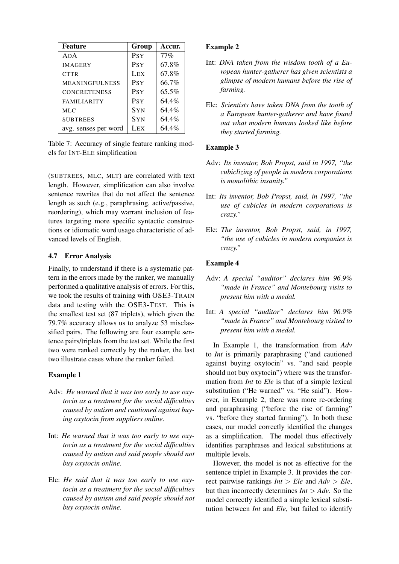| <b>Feature</b>        | Group            | Accur.   |
|-----------------------|------------------|----------|
| AOA                   | <b>PSY</b>       | $77\%$   |
| <b>IMAGERY</b>        | <b>PSY</b>       | 67.8%    |
| <b>CTTR</b>           | LEX <sup>1</sup> | 67.8%    |
| <b>MEANINGFULNESS</b> | <b>PSY</b>       | 66.7%    |
| <b>CONCRETENESS</b>   | <b>PSY</b>       | $65.5\%$ |
| <b>FAMILIARITY</b>    | <b>PSY</b>       | 64.4%    |
| <b>MLC</b>            | <b>SYN</b>       | 64.4%    |
| <b>SUBTREES</b>       | <b>SYN</b>       | 64.4%    |
| avg. senses per word  | LEX <sup>1</sup> | 64.4%    |

Table 7: Accuracy of single feature ranking models for INT-ELE simplification

(SUBTREES, MLC, MLT) are correlated with text length. However, simplification can also involve sentence rewrites that do not affect the sentence length as such (e.g., paraphrasing, active/passive, reordering), which may warrant inclusion of features targeting more specific syntactic constructions or idiomatic word usage characteristic of advanced levels of English.

## 4.7 Error Analysis

Finally, to understand if there is a systematic pattern in the errors made by the ranker, we manually performed a qualitative analysis of errors. For this, we took the results of training with OSE3-TRAIN data and testing with the OSE3-TEST. This is the smallest test set (87 triplets), which given the 79.7% accuracy allows us to analyze 53 misclassified pairs. The following are four example sentence pairs/triplets from the test set. While the first two were ranked correctly by the ranker, the last two illustrate cases where the ranker failed.

## Example 1

- Adv: *He warned that it was too early to use oxytocin as a treatment for the social difficulties caused by autism and cautioned against buying oxytocin from suppliers online.*
- Int: *He warned that it was too early to use oxytocin as a treatment for the social difficulties caused by autism and said people should not buy oxytocin online.*
- Ele: *He said that it was too early to use oxytocin as a treatment for the social difficulties caused by autism and said people should not buy oxytocin online.*

## Example 2

- Int: *DNA taken from the wisdom tooth of a European hunter-gatherer has given scientists a glimpse of modern humans before the rise of farming.*
- Ele: *Scientists have taken DNA from the tooth of a European hunter-gatherer and have found out what modern humans looked like before they started farming.*

### Example 3

- Adv: *Its inventor, Bob Propst, said in 1997, "the cubiclizing of people in modern corporations is monolithic insanity."*
- Int: *Its inventor, Bob Propst, said, in 1997, "the use of cubicles in modern corporations is crazy."*
- Ele: *The inventor, Bob Propst, said, in 1997, "the use of cubicles in modern companies is crazy."*

## Example 4

- Adv: *A special "auditor" declares him 96.9% "made in France" and Montebourg visits to present him with a medal.*
- Int: *A special "auditor" declares him 96.9% "made in France" and Montebourg visited to present him with a medal.*

In Example 1, the transformation from *Adv* to *Int* is primarily paraphrasing ("and cautioned against buying oxytocin" vs. "and said people should not buy oxytocin") where was the transformation from *Int* to *Ele* is that of a simple lexical substitution ("He warned" vs. "He said"). However, in Example 2, there was more re-ordering and paraphrasing ("before the rise of farming" vs. "before they started farming"). In both these cases, our model correctly identified the changes as a simplification. The model thus effectively identifies paraphrases and lexical substitutions at multiple levels.

However, the model is not as effective for the sentence triplet in Example 3. It provides the correct pairwise rankings  $Int > Ele$  and  $Adv > Ele$ , but then incorrectly determines  $Int > Adv$ . So the model correctly identified a simple lexical substitution between *Int* and *Ele*, but failed to identify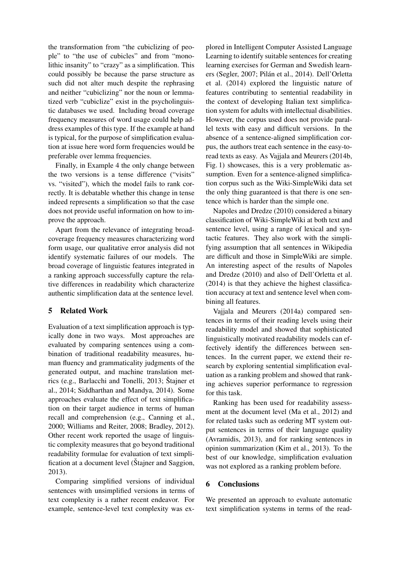the transformation from "the cubiclizing of people" to "the use of cubicles" and from "monolithic insanity" to "crazy" as a simplification. This could possibly be because the parse structure as such did not alter much despite the rephrasing and neither "cubiclizing" nor the noun or lemmatized verb "cubiclize" exist in the psycholinguistic databases we used. Including broad coverage frequency measures of word usage could help address examples of this type. If the example at hand is typical, for the purpose of simplification evaluation at issue here word form frequencies would be preferable over lemma frequencies.

Finally, in Example 4 the only change between the two versions is a tense difference ("visits" vs. "visited"), which the model fails to rank correctly. It is debatable whether this change in tense indeed represents a simplification so that the case does not provide useful information on how to improve the approach.

Apart from the relevance of integrating broadcoverage frequency measures characterizing word form usage, our qualitative error analysis did not identify systematic failures of our models. The broad coverage of linguistic features integrated in a ranking approach successfully capture the relative differences in readability which characterize authentic simplification data at the sentence level.

## 5 Related Work

Evaluation of a text simplification approach is typically done in two ways. Most approaches are evaluated by comparing sentences using a combination of traditional readability measures, human fluency and grammaticality judgments of the generated output, and machine translation metrics (e.g., Barlacchi and Tonelli, 2013; Štajner et al., 2014; Siddharthan and Mandya, 2014). Some approaches evaluate the effect of text simplification on their target audience in terms of human recall and comprehension (e.g., Canning et al., 2000; Williams and Reiter, 2008; Bradley, 2012). Other recent work reported the usage of linguistic complexity measures that go beyond traditional readability formulae for evaluation of text simplification at a document level (Stajner and Saggion, 2013).

Comparing simplified versions of individual sentences with unsimplified versions in terms of text complexity is a rather recent endeavor. For example, sentence-level text complexity was explored in Intelligent Computer Assisted Language Learning to identify suitable sentences for creating learning exercises for German and Swedish learners (Segler, 2007; Pilán et al., 2014). Dell'Orletta et al. (2014) explored the linguistic nature of features contributing to sentential readability in the context of developing Italian text simplification system for adults with intellectual disabilities. However, the corpus used does not provide parallel texts with easy and difficult versions. In the absence of a sentence-aligned simplification corpus, the authors treat each sentence in the easy-toread texts as easy. As Vajjala and Meurers (2014b, Fig. 1) showcases, this is a very problematic assumption. Even for a sentence-aligned simplification corpus such as the Wiki-SimpleWiki data set the only thing guaranteed is that there is one sentence which is harder than the simple one.

Napoles and Dredze (2010) considered a binary classification of Wiki-SimpleWiki at both text and sentence level, using a range of lexical and syntactic features. They also work with the simplifying assumption that all sentences in Wikipedia are difficult and those in SimpleWiki are simple. An interesting aspect of the results of Napoles and Dredze (2010) and also of Dell'Orletta et al. (2014) is that they achieve the highest classification accuracy at text and sentence level when combining all features.

Vajjala and Meurers (2014a) compared sentences in terms of their reading levels using their readability model and showed that sophisticated linguistically motivated readability models can effectively identify the differences between sentences. In the current paper, we extend their research by exploring sentential simplification evaluation as a ranking problem and showed that ranking achieves superior performance to regression for this task.

Ranking has been used for readability assessment at the document level (Ma et al., 2012) and for related tasks such as ordering MT system output sentences in terms of their language quality (Avramidis, 2013), and for ranking sentences in opinion summarization (Kim et al., 2013). To the best of our knowledge, simplification evaluation was not explored as a ranking problem before.

### 6 Conclusions

We presented an approach to evaluate automatic text simplification systems in terms of the read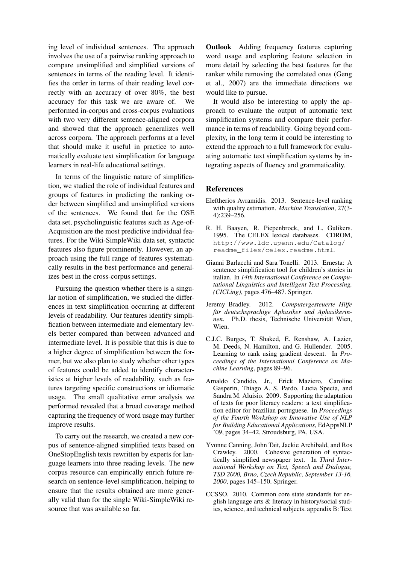ing level of individual sentences. The approach involves the use of a pairwise ranking approach to compare unsimplified and simplified versions of sentences in terms of the reading level. It identifies the order in terms of their reading level correctly with an accuracy of over 80%, the best accuracy for this task we are aware of. We performed in-corpus and cross-corpus evaluations with two very different sentence-aligned corpora and showed that the approach generalizes well across corpora. The approach performs at a level that should make it useful in practice to automatically evaluate text simplification for language learners in real-life educational settings.

In terms of the linguistic nature of simplification, we studied the role of individual features and groups of features in predicting the ranking order between simplified and unsimplified versions of the sentences. We found that for the OSE data set, psycholinguistic features such as Age-of-Acquisition are the most predictive individual features. For the Wiki-SimpleWiki data set, syntactic features also figure prominently. However, an approach using the full range of features systematically results in the best performance and generalizes best in the cross-corpus settings.

Pursuing the question whether there is a singular notion of simplification, we studied the differences in text simplification occurring at different levels of readability. Our features identify simplification between intermediate and elementary levels better compared than between advanced and intermediate level. It is possible that this is due to a higher degree of simplification between the former, but we also plan to study whether other types of features could be added to identify characteristics at higher levels of readability, such as features targeting specific constructions or idiomatic usage. The small qualitative error analysis we performed revealed that a broad coverage method capturing the frequency of word usage may further improve results.

To carry out the research, we created a new corpus of sentence-aligned simplified texts based on OneStopEnglish texts rewritten by experts for language learners into three reading levels. The new corpus resource can empirically enrich future research on sentence-level simplification, helping to ensure that the results obtained are more generally valid than for the single Wiki-SimpleWiki resource that was available so far.

Outlook Adding frequency features capturing word usage and exploring feature selection in more detail by selecting the best features for the ranker while removing the correlated ones (Geng et al., 2007) are the immediate directions we would like to pursue.

It would also be interesting to apply the approach to evaluate the output of automatic text simplification systems and compare their performance in terms of readability. Going beyond complexity, in the long term it could be interesting to extend the approach to a full framework for evaluating automatic text simplification systems by integrating aspects of fluency and grammaticality.

## References

- Eleftherios Avramidis. 2013. Sentence-level ranking with quality estimation. *Machine Translation*, 27(3- 4):239–256.
- R. H. Baayen, R. Piepenbrock, and L. Gulikers. 1995. The CELEX lexical databases. CDROM, http://www.ldc.upenn.edu/Catalog/ readme\_files/celex.readme.html.
- Gianni Barlacchi and Sara Tonelli. 2013. Ernesta: A sentence simplification tool for children's stories in italian. In *14th International Conference on Computational Linguistics and Intelligent Text Processing, (CICLing)*, pages 476–487. Springer.
- Jeremy Bradley. 2012. *Computergesteuerte Hilfe fur deutschsprachige Aphasiker und Aphasikerin- ¨ nen*. Ph.D. thesis, Technische Universität Wien, Wien.
- C.J.C. Burges, T. Shaked, E. Renshaw, A. Lazier, M. Deeds, N. Hamilton, and G. Hullender. 2005. Learning to rank using gradient descent. In *Proceedings of the International Conference on Machine Learning*, pages 89–96.
- Arnaldo Candido, Jr., Erick Maziero, Caroline Gasperin, Thiago A. S. Pardo, Lucia Specia, and Sandra M. Aluisio. 2009. Supporting the adaptation of texts for poor literacy readers: a text simplification editor for brazilian portuguese. In *Proceedings of the Fourth Workshop on Innovative Use of NLP for Building Educational Applications*, EdAppsNLP '09, pages 34–42, Stroudsburg, PA, USA.
- Yvonne Canning, John Tait, Jackie Archibald, and Ros Crawley. 2000. Cohesive generation of syntactically simplified newspaper text. In *Third International Workshop on Text, Speech and Dialogue, TSD 2000, Brno, Czech Republic, September 13-16, 2000*, pages 145–150. Springer.
- CCSSO. 2010. Common core state standards for english language arts & literacy in history/social studies, science, and technical subjects. appendix B: Text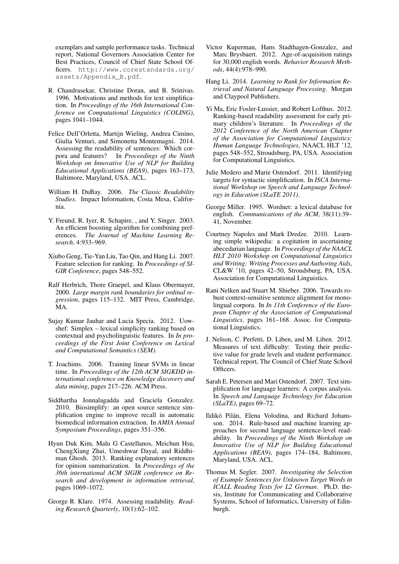exemplars and sample performance tasks. Technical report, National Governors Association Center for Best Practices, Council of Chief State School Officers. http://www.corestandards.org/ assets/Appendix\_B.pdf.

- R. Chandrasekar, Christine Doran, and B. Srinivas. 1996. Motivations and methods for text simplification. In *Proceedings of the 16th International Conference on Computational Linguistics (COLING)*, pages 1041–1044.
- Felice Dell'Orletta, Martijn Wieling, Andrea Cimino, Giulia Venturi, and Simonetta Montemagni. 2014. Assessing the readability of sentences: Which corpora and features? In *Proceedings of the Ninth Workshop on Innovative Use of NLP for Building Educational Applications (BEA9)*, pages 163–173, Baltimore, Maryland, USA. ACL.
- William H. DuBay. 2006. *The Classic Readability Studies*. Impact Information, Costa Mesa, California.
- Y. Freund, R. Iyer, R. Schapire, , and Y. Singer. 2003. An efficient boosting algorithm for combining preferences. *The Journal of Machine Learning Research*, 4:933–969.
- Xiubo Geng, Tie-Yan Liu, Tao Qin, and Hang Li. 2007. Feature selection for ranking. In *Proceedings of SI-GIR Conference*, pages 548–552.
- Ralf Herbrich, Thore Graepel, and Klaus Obermayer, 2000. *Large margin rank boundaries for ordinal regression*, pages 115–132. MIT Press, Cambridge, MA.
- Sujay Kumar Jauhar and Lucia Specia. 2012. Uowshef: Simplex – lexical simplicity ranking based on contextual and psycholinguistic features. In *In proceedings of the First Joint Conference on Lexical and Computational Semantics (SEM)*.
- T. Joachims. 2006. Training linear SVMs in linear time. In *Proceedings of the 12th ACM SIGKDD international conference on Knowledge discovery and data mining*, pages 217–226. ACM Press.
- Siddhartha Jonnalagadda and Graciela Gonzalez. 2010. Biosimplify: an open source sentence simplification engine to improve recall in automatic biomedical information extraction. In *AMIA Annual Symposium Proceedings*, pages 351–356.
- Hyun Duk Kim, Malu G Castellanos, Meichun Hsu, ChengXiang Zhai, Umeshwar Dayal, and Riddhiman Ghosh. 2013. Ranking explanatory sentences for opinion summarization. In *Proceedings of the 36th international ACM SIGIR conference on Research and development in information retrieval*, pages 1069–1072.
- George R. Klare. 1974. Assessing readability. *Reading Research Quarterly*, 10(1):62–102.
- Victor Kuperman, Hans Stadthagen-Gonzalez, and Marc Brysbaert. 2012. Age-of-acquisition ratings for 30,000 english words. *Behavior Research Methods*, 44(4):978–990.
- Hang Li. 2014. *Learning to Rank for Information Retrieval and Natural Language Processing*. Morgan and Claypool Publishers.
- Yi Ma, Eric Fosler-Lussier, and Robert Lofthus. 2012. Ranking-based readability assessment for early primary children's literature. In *Proceedings of the 2012 Conference of the North American Chapter of the Association for Computational Linguistics: Human Language Technologies*, NAACL HLT '12, pages 548–552, Stroudsburg, PA, USA. Association for Computational Linguistics.
- Julie Medero and Marie Ostendorf. 2011. Identifying targets for syntactic simplification. In *ISCA International Workshop on Speech and Language Technology in Education (SLaTE 2011)*.
- George Miller. 1995. Wordnet: a lexical database for english. *Communications of the ACM*, 38(11):39– 41, November.
- Courtney Napoles and Mark Dredze. 2010. Learning simple wikipedia: a cogitation in ascertaining abecedarian language. In *Proceedings of the NAACL HLT 2010 Workshop on Computational Linguistics and Writing: Writing Processes and Authoring Aids*, CL&W '10, pages 42–50, Stroudsburg, PA, USA. Association for Computational Linguistics.
- Rani Nelken and Stuart M. Shieber. 2006. Towards robust context-sensitive sentence alignment for monolingual corpora. In *In 11th Conference of the European Chapter of the Association of Computational Linguistics*, pages 161–168. Assoc. for Computational Linguistics.
- J. Nelson, C. Perfetti, D. Liben, and M. Liben. 2012. Measures of text difficulty: Testing their predictive value for grade levels and student performance. Technical report, The Council of Chief State School Officers.
- Sarah E. Petersen and Mari Ostendorf. 2007. Text simplification for language learners: A corpus analysis. In *Speech and Language Technology for Education (SLaTE)*, pages 69–72.
- Ildikó Pilán, Elena Volodina, and Richard Johansson. 2014. Rule-based and machine learning approaches for second language sentence-level readability. In *Proceedings of the Ninth Workshop on Innovative Use of NLP for Building Educational Applications (BEA9)*, pages 174–184, Baltimore, Maryland, USA. ACL.
- Thomas M. Segler. 2007. *Investigating the Selection of Example Sentences for Unknown Target Words in ICALL Reading Texts for L2 German*. Ph.D. thesis, Institute for Communicating and Collaborative Systems, School of Informatics, University of Edinburgh.